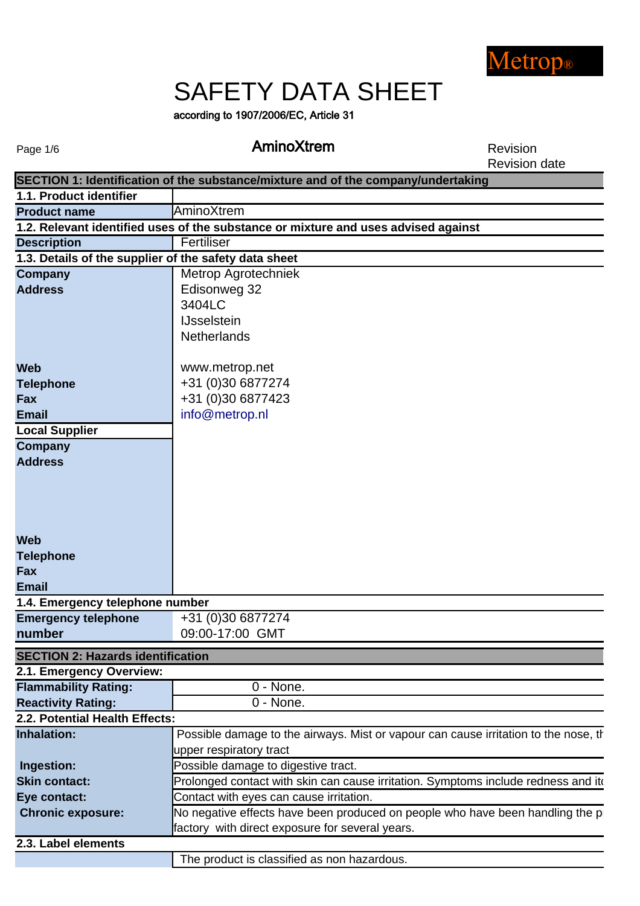

# SAFETY DATA SHEET

according to 1907/2006/EC, Article 31

Page 1/6

### AminoXtrem Revision

Revision date

|                                                       | SECTION 1: Identification of the substance/mixture and of the company/undertaking    |
|-------------------------------------------------------|--------------------------------------------------------------------------------------|
| 1.1. Product identifier                               |                                                                                      |
| <b>Product name</b>                                   | AminoXtrem                                                                           |
|                                                       | 1.2. Relevant identified uses of the substance or mixture and uses advised against   |
| <b>Description</b>                                    | Fertiliser                                                                           |
| 1.3. Details of the supplier of the safety data sheet |                                                                                      |
| <b>Company</b>                                        | Metrop Agrotechniek                                                                  |
| <b>Address</b>                                        | Edisonweg 32                                                                         |
|                                                       | 3404LC                                                                               |
|                                                       | <b>IJsselstein</b>                                                                   |
|                                                       | <b>Netherlands</b>                                                                   |
|                                                       |                                                                                      |
| <b>Web</b>                                            | www.metrop.net                                                                       |
| <b>Telephone</b>                                      | +31 (0)30 6877274                                                                    |
| Fax                                                   | +31 (0)30 6877423                                                                    |
| <b>Email</b>                                          | info@metrop.nl                                                                       |
| <b>Local Supplier</b>                                 |                                                                                      |
| <b>Company</b>                                        |                                                                                      |
| <b>Address</b>                                        |                                                                                      |
|                                                       |                                                                                      |
|                                                       |                                                                                      |
|                                                       |                                                                                      |
|                                                       |                                                                                      |
| <b>Web</b>                                            |                                                                                      |
| <b>Telephone</b>                                      |                                                                                      |
| Fax                                                   |                                                                                      |
| <b>Email</b>                                          |                                                                                      |
| 1.4. Emergency telephone number                       |                                                                                      |
| <b>Emergency telephone</b>                            | +31 (0)30 6877274                                                                    |
| number                                                | 09:00-17:00 GMT                                                                      |
| <b>SECTION 2: Hazards identification</b>              |                                                                                      |
| 2.1. Emergency Overview:                              |                                                                                      |
| <b>Flammability Rating:</b>                           | 0 - None.                                                                            |
| <b>Reactivity Rating:</b>                             | 0 - None.                                                                            |
| 2.2. Potential Health Effects:                        |                                                                                      |
| <b>Inhalation:</b>                                    | Possible damage to the airways. Mist or vapour can cause irritation to the nose, the |
|                                                       | upper respiratory tract                                                              |
| Ingestion:                                            | Possible damage to digestive tract.                                                  |
| <b>Skin contact:</b>                                  | Prolonged contact with skin can cause irritation. Symptoms include redness and ite   |
| Eye contact:                                          | Contact with eyes can cause irritation.                                              |
| <b>Chronic exposure:</b>                              | No negative effects have been produced on people who have been handling the p        |
|                                                       | factory with direct exposure for several years.                                      |
| 2.3. Label elements                                   |                                                                                      |
|                                                       | The product is classified as non hazardous.                                          |
|                                                       |                                                                                      |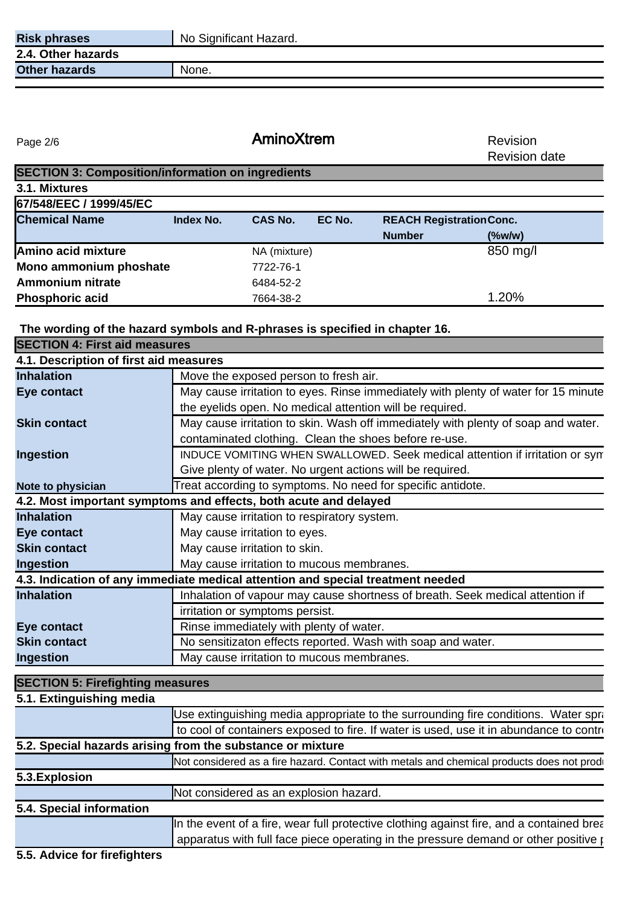| <b>Risk phrases</b>  | No Significant Hazard. |
|----------------------|------------------------|
| 2.4. Other hazards   |                        |
| <b>Other hazards</b> | None.                  |
|                      |                        |

Page 2/6

AminoXtrem Revision

Revision date

| <b>SECTION 3: Composition/information on ingredients</b> |           |                |        |                                 |              |  |
|----------------------------------------------------------|-----------|----------------|--------|---------------------------------|--------------|--|
| 3.1. Mixtures                                            |           |                |        |                                 |              |  |
| 67/548/EEC / 1999/45/EC                                  |           |                |        |                                 |              |  |
| <b>Chemical Name</b>                                     | Index No. | <b>CAS No.</b> | EC No. | <b>REACH Registration Conc.</b> |              |  |
|                                                          |           |                |        | <b>Number</b>                   | $($ %w/w $)$ |  |
| Amino acid mixture                                       |           | NA (mixture)   |        |                                 | 850 mg/l     |  |
| Mono ammonium phoshate                                   |           | 7722-76-1      |        |                                 |              |  |
| <b>Ammonium nitrate</b>                                  |           | 6484-52-2      |        |                                 |              |  |
| <b>Phosphoric acid</b>                                   |           | 7664-38-2      |        |                                 | 1.20%        |  |

**The wording of the hazard symbols and R-phrases is specified in chapter 16.** 

| <b>SECTION 4: First aid measures</b>    |                                                                                            |
|-----------------------------------------|--------------------------------------------------------------------------------------------|
| 4.1. Description of first aid measures  |                                                                                            |
| <b>Inhalation</b>                       | Move the exposed person to fresh air.                                                      |
| <b>Eye contact</b>                      | May cause irritation to eyes. Rinse immediately with plenty of water for 15 minute         |
|                                         | the eyelids open. No medical attention will be required.                                   |
| <b>Skin contact</b>                     | May cause irritation to skin. Wash off immediately with plenty of soap and water.          |
|                                         | contaminated clothing. Clean the shoes before re-use.                                      |
| <b>Ingestion</b>                        | INDUCE VOMITING WHEN SWALLOWED. Seek medical attention if irritation or syn                |
|                                         | Give plenty of water. No urgent actions will be required.                                  |
| Note to physician                       | Treat according to symptoms. No need for specific antidote.                                |
|                                         | 4.2. Most important symptoms and effects, both acute and delayed                           |
| <b>Inhalation</b>                       | May cause irritation to respiratory system.                                                |
| <b>Eye contact</b>                      | May cause irritation to eyes.                                                              |
| <b>Skin contact</b>                     | May cause irritation to skin.                                                              |
| <b>Ingestion</b>                        | May cause irritation to mucous membranes.                                                  |
|                                         | 4.3. Indication of any immediate medical attention and special treatment needed            |
| <b>Inhalation</b>                       | Inhalation of vapour may cause shortness of breath. Seek medical attention if              |
|                                         | irritation or symptoms persist.                                                            |
| <b>Eye contact</b>                      | Rinse immediately with plenty of water.                                                    |
| <b>Skin contact</b>                     | No sensitizaton effects reported. Wash with soap and water.                                |
| <b>Ingestion</b>                        | May cause irritation to mucous membranes.                                                  |
|                                         |                                                                                            |
| <b>SECTION 5: Firefighting measures</b> |                                                                                            |
| 5.1. Extinguishing media                |                                                                                            |
|                                         | Use extinguishing media appropriate to the surrounding fire conditions. Water spra         |
|                                         | to cool of containers exposed to fire. If water is used, use it in abundance to control    |
|                                         | 5.2. Special hazards arising from the substance or mixture                                 |
|                                         | Not considered as a fire hazard. Contact with metals and chemical products does not prodi- |
| 5.3. Explosion                          |                                                                                            |

**5.4. Special information** Not considered as an explosion hazard.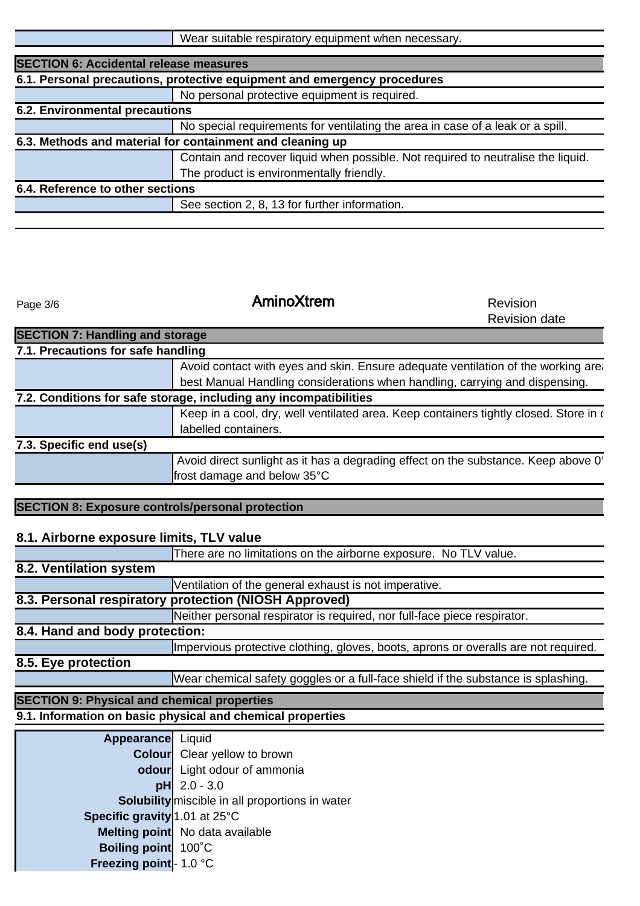| Wear suitable respiratory equipment when necessary. |
|-----------------------------------------------------|
|-----------------------------------------------------|

| 6.1. Personal precautions, protective equipment and emergency procedures<br>No personal protective equipment is required.<br>6.2. Environmental precautions |
|-------------------------------------------------------------------------------------------------------------------------------------------------------------|
|                                                                                                                                                             |
|                                                                                                                                                             |
|                                                                                                                                                             |
| No special requirements for ventilating the area in case of a leak or a spill.                                                                              |
| 6.3. Methods and material for containment and cleaning up                                                                                                   |
| Contain and recover liquid when possible. Not required to neutralise the liquid.                                                                            |
| The product is environmentally friendly.                                                                                                                    |
| 6.4. Reference to other sections                                                                                                                            |
| See section 2, 8, 13 for further information.                                                                                                               |
|                                                                                                                                                             |

Page 3/6

**SECTION 7: Handling and storage** 

## AminoXtrem Revision

Revision date

| 7.1. Precautions for safe handling                      |                                                                                       |  |  |
|---------------------------------------------------------|---------------------------------------------------------------------------------------|--|--|
|                                                         | Avoid contact with eyes and skin. Ensure adequate ventilation of the working area     |  |  |
|                                                         | best Manual Handling considerations when handling, carrying and dispensing.           |  |  |
|                                                         | 7.2. Conditions for safe storage, including any incompatibilities                     |  |  |
|                                                         | Keep in a cool, dry, well ventilated area. Keep containers tightly closed. Store in a |  |  |
|                                                         | labelled containers.                                                                  |  |  |
| 7.3. Specific end use(s)                                |                                                                                       |  |  |
|                                                         | Avoid direct sunlight as it has a degrading effect on the substance. Keep above 0°    |  |  |
|                                                         | frost damage and below 35°C                                                           |  |  |
|                                                         |                                                                                       |  |  |
| <b>SECTION 8: Exposure controls/personal protection</b> |                                                                                       |  |  |
|                                                         |                                                                                       |  |  |
| 8.1. Airborne exposure limits, TLV value                |                                                                                       |  |  |
|                                                         | There are no limitations on the airborne exposure. No TLV value.                      |  |  |
| 8.2. Ventilation system                                 |                                                                                       |  |  |
|                                                         | Ventilation of the general exhaust is not imperative.                                 |  |  |
|                                                         | 8.3. Personal respiratory protection (NIOSH Approved)                                 |  |  |
|                                                         | Neither personal respirator is required, nor full-face piece respirator.              |  |  |
| 8.4. Hand and body protection:                          |                                                                                       |  |  |
|                                                         | Impervious protective clothing, gloves, boots, aprons or overalls are not required.   |  |  |
| 8.5. Eye protection                                     |                                                                                       |  |  |
|                                                         | Wear chemical safety goggles or a full-face shield if the substance is splashing.     |  |  |
| <b>SECTION 9: Physical and chemical properties</b>      |                                                                                       |  |  |
|                                                         | 9.1. Information on basic physical and chemical properties                            |  |  |
| Appearance Liquid                                       |                                                                                       |  |  |
|                                                         | <b>Colour</b> Clear yellow to brown                                                   |  |  |
|                                                         | odour Light odour of ammonia                                                          |  |  |
|                                                         | $pH$ 2.0 - 3.0                                                                        |  |  |
|                                                         | <b>Solubility</b> miscible in all proportions in water                                |  |  |
| Specific gravity 1.01 at 25°C                           |                                                                                       |  |  |
|                                                         | Melting point No data available                                                       |  |  |
|                                                         |                                                                                       |  |  |
| Boiling point 100°C                                     |                                                                                       |  |  |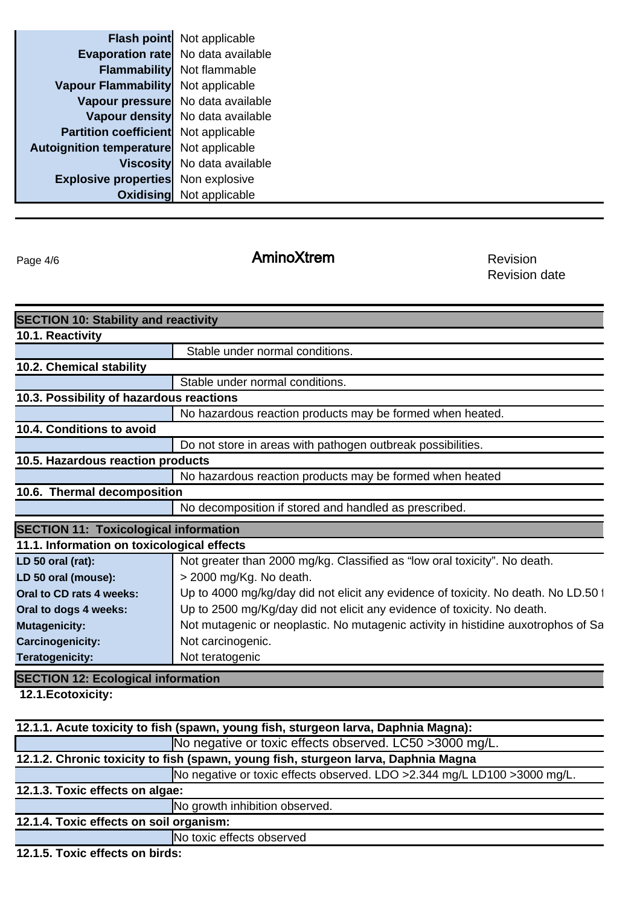|                                             | <b>Flash point</b> Not applicable  |
|---------------------------------------------|------------------------------------|
|                                             | Evaporation rate No data available |
| <b>Flammability</b>                         | Not flammable                      |
| <b>Vapour Flammability</b>                  | Not applicable                     |
|                                             | Vapour pressure No data available  |
|                                             | Vapour density No data available   |
| <b>Partition coefficient</b> Not applicable |                                    |
| <b>Autoignition temperature</b>             | Not applicable                     |
|                                             | Viscosity No data available        |
| <b>Explosive properties</b>                 | Non explosive                      |
|                                             | <b>Oxidising</b> Not applicable    |

Page 4/6

## AminoXtrem Revision

Revision date

| <b>SECTION 10: Stability and reactivity</b><br>Stable under normal conditions.     |  |  |
|------------------------------------------------------------------------------------|--|--|
|                                                                                    |  |  |
|                                                                                    |  |  |
|                                                                                    |  |  |
|                                                                                    |  |  |
| Stable under normal conditions.                                                    |  |  |
| 10.3. Possibility of hazardous reactions                                           |  |  |
| No hazardous reaction products may be formed when heated.                          |  |  |
|                                                                                    |  |  |
| Do not store in areas with pathogen outbreak possibilities.                        |  |  |
| 10.5. Hazardous reaction products                                                  |  |  |
| No hazardous reaction products may be formed when heated                           |  |  |
| 10.6. Thermal decomposition                                                        |  |  |
| No decomposition if stored and handled as prescribed.                              |  |  |
| <b>SECTION 11: Toxicological information</b>                                       |  |  |
| 11.1. Information on toxicological effects                                         |  |  |
| Not greater than 2000 mg/kg. Classified as "low oral toxicity". No death.          |  |  |
| > 2000 mg/Kg. No death.                                                            |  |  |
| Up to 4000 mg/kg/day did not elicit any evidence of toxicity. No death. No LD.50 1 |  |  |
| Up to 2500 mg/Kg/day did not elicit any evidence of toxicity. No death.            |  |  |
| Not mutagenic or neoplastic. No mutagenic activity in histidine auxotrophos of Sa  |  |  |
| Not carcinogenic.                                                                  |  |  |
| Not teratogenic                                                                    |  |  |
| <b>SECTION 12: Ecological information</b>                                          |  |  |
|                                                                                    |  |  |

| 12.1.1. Acute toxicity to fish (spawn, young fish, sturgeon larva, Daphnia Magna): |                                |  |  |
|------------------------------------------------------------------------------------|--------------------------------|--|--|
| No negative or toxic effects observed. LC50 >3000 mg/L.                            |                                |  |  |
| 12.1.2. Chronic toxicity to fish (spawn, young fish, sturgeon larva, Daphnia Magna |                                |  |  |
| No negative or toxic effects observed. LDO >2.344 mg/L LD100 >3000 mg/L.           |                                |  |  |
| 12.1.3. Toxic effects on algae:                                                    |                                |  |  |
|                                                                                    | No growth inhibition observed. |  |  |
| 12.1.4. Toxic effects on soil organism:                                            |                                |  |  |
|                                                                                    | No toxic effects observed      |  |  |

**12.1.5. Toxic effects on birds:**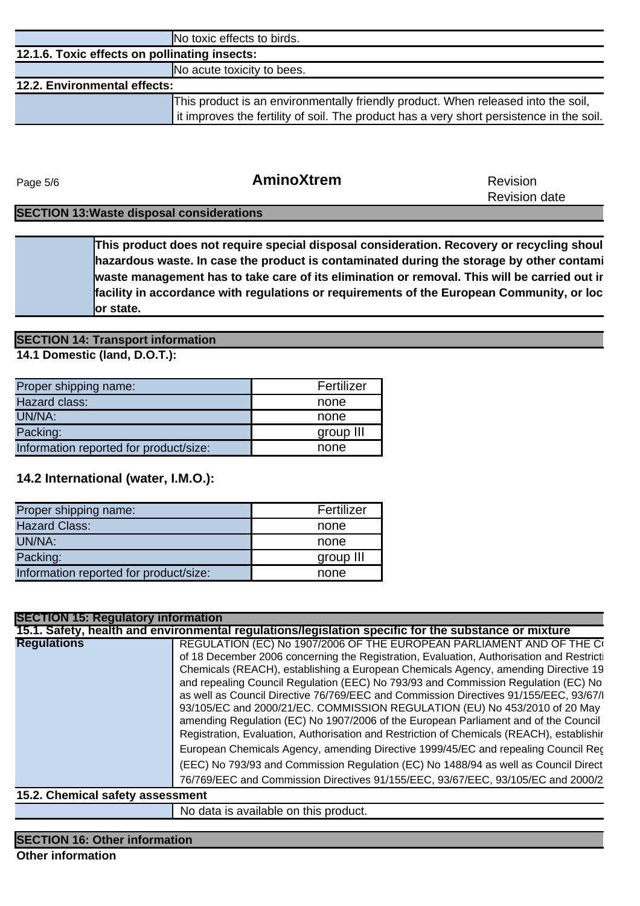|                                               | No toxic effects to birds.                                                               |  |  |
|-----------------------------------------------|------------------------------------------------------------------------------------------|--|--|
| 12.1.6. Toxic effects on pollinating insects: |                                                                                          |  |  |
|                                               | No acute toxicity to bees.                                                               |  |  |
| <b>12.2. Environmental effects:</b>           |                                                                                          |  |  |
|                                               | This product is an environmentally friendly product. When released into the soil,        |  |  |
|                                               | it improves the fertility of soil. The product has a very short persistence in the soil. |  |  |
|                                               |                                                                                          |  |  |

Page 5/6

#### **AminoXtrem** Revision

Revision date

#### **SECTION 13:Waste disposal considerations**

**or state.**  This product does not require special disposal consideration. Recovery or recycling shoul **hazardous waste. In case the product is contaminated during the storage by other contami waste management has to take care of its elimination or removal. This will be carried out ir** facility in accordance with regulations or requirements of the European Community, or loc

#### **SECTION 14: Transport information**

**14.1 Domestic (land, D.O.T.):**

| Proper shipping name:                  | Fertilizer |
|----------------------------------------|------------|
| Hazard class:                          | none       |
| UN/NA:                                 | none       |
| Packing:                               | group III  |
| Information reported for product/size: | none       |

#### **14.2 International (water, I.M.O.):**

| Proper shipping name:                  | Fertilizer |
|----------------------------------------|------------|
| <b>Hazard Class:</b>                   | none       |
| UN/NA:                                 | none       |
| Packing:                               | group III  |
| Information reported for product/size: | none       |

| <b>SECTION 15: Regulatory information</b> |                                                                                                                                                                                                                                                                                                                                                                                                                                                                                                                                                                                                                                                                                                          |
|-------------------------------------------|----------------------------------------------------------------------------------------------------------------------------------------------------------------------------------------------------------------------------------------------------------------------------------------------------------------------------------------------------------------------------------------------------------------------------------------------------------------------------------------------------------------------------------------------------------------------------------------------------------------------------------------------------------------------------------------------------------|
|                                           | 15.1. Safety, health and environmental regulations/legislation specific for the substance or mixture                                                                                                                                                                                                                                                                                                                                                                                                                                                                                                                                                                                                     |
| <b>Regulations</b>                        | REGULATION (EC) No 1907/2006 OF THE EUROPEAN PARLIAMENT AND OF THE CO<br>of 18 December 2006 concerning the Registration, Evaluation, Authorisation and Restricti<br>Chemicals (REACH), establishing a European Chemicals Agency, amending Directive 19<br>and repealing Council Regulation (EEC) No 793/93 and Commission Regulation (EC) No<br>as well as Council Directive 76/769/EEC and Commission Directives 91/155/EEC, 93/67/I<br>93/105/EC and 2000/21/EC. COMMISSION REGULATION (EU) No 453/2010 of 20 May<br>amending Regulation (EC) No 1907/2006 of the European Parliament and of the Council<br>Registration, Evaluation, Authorisation and Restriction of Chemicals (REACH), establishir |
|                                           | European Chemicals Agency, amending Directive 1999/45/EC and repealing Council Rec<br>(EEC) No 793/93 and Commission Regulation (EC) No 1488/94 as well as Council Direct<br>76/769/EEC and Commission Directives 91/155/EEC, 93/67/EEC, 93/105/EC and 2000/2                                                                                                                                                                                                                                                                                                                                                                                                                                            |
| 15.2. Chemical safety assessment          |                                                                                                                                                                                                                                                                                                                                                                                                                                                                                                                                                                                                                                                                                                          |
|                                           | No data is available on this product.                                                                                                                                                                                                                                                                                                                                                                                                                                                                                                                                                                                                                                                                    |

#### **SECTION 16: Other information**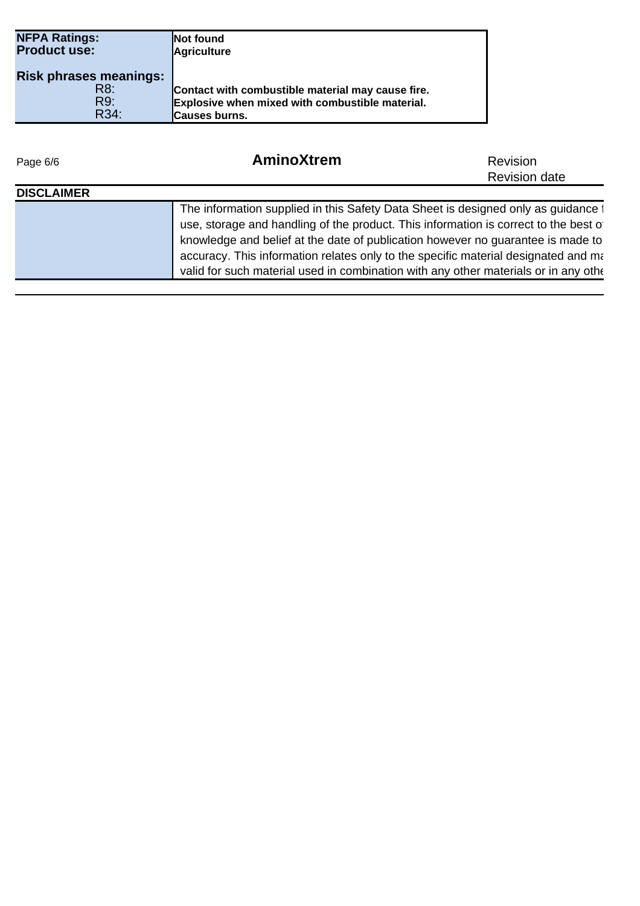| <b>NFPA Ratings:</b><br><b>Product use:</b> | <b>INot found</b><br>Agriculture                  |
|---------------------------------------------|---------------------------------------------------|
| <b>Risk phrases meanings:</b>               |                                                   |
| R8:                                         | Contact with combustible material may cause fire. |
| R9:                                         | Explosive when mixed with combustible material.   |
| R34:                                        | <b> Causes burns.</b>                             |

| Page 6/6          | AminoXtrem                                                                                                                                                                                                                                                                                                                                                                                                                                 | <b>Revision</b>      |  |
|-------------------|--------------------------------------------------------------------------------------------------------------------------------------------------------------------------------------------------------------------------------------------------------------------------------------------------------------------------------------------------------------------------------------------------------------------------------------------|----------------------|--|
|                   |                                                                                                                                                                                                                                                                                                                                                                                                                                            | <b>Revision date</b> |  |
| <b>DISCLAIMER</b> |                                                                                                                                                                                                                                                                                                                                                                                                                                            |                      |  |
|                   | The information supplied in this Safety Data Sheet is designed only as guidance 1<br>use, storage and handling of the product. This information is correct to the best of<br>knowledge and belief at the date of publication however no guarantee is made to<br>accuracy. This information relates only to the specific material designated and ma<br>valid for such material used in combination with any other materials or in any other |                      |  |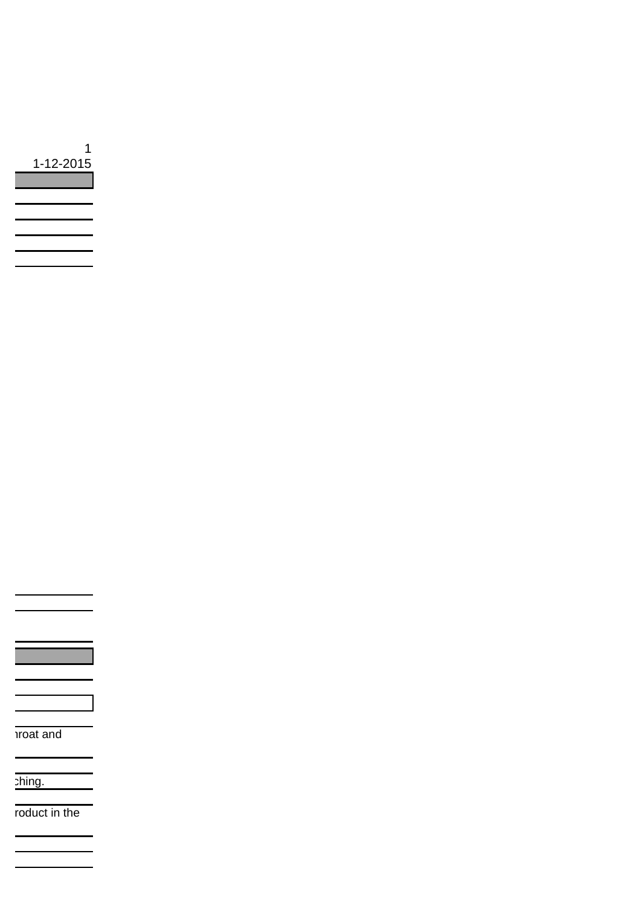| 1<br>1-12-2015 |
|----------------|
|                |
|                |
|                |
|                |
|                |
|                |

**Troat and** 

phing.

roduct in the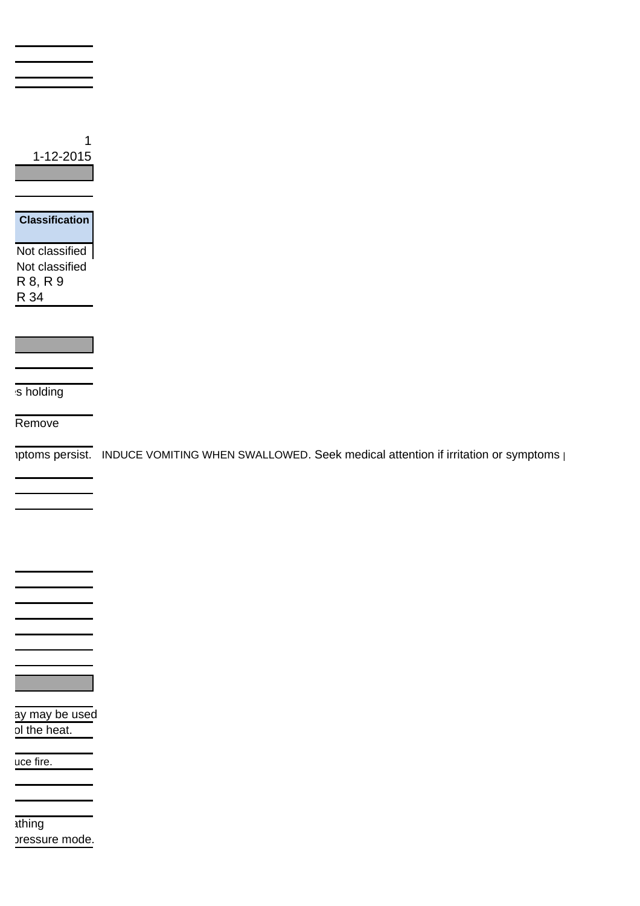| 1-12-2015                                                                     |                                                                                                  |
|-------------------------------------------------------------------------------|--------------------------------------------------------------------------------------------------|
| <b>Classification</b><br>Not classified<br>Not classified<br>R 8, R 9<br>R 34 |                                                                                                  |
|                                                                               |                                                                                                  |
| s holding                                                                     |                                                                                                  |
| Remove                                                                        |                                                                                                  |
|                                                                               | iptoms persist. INDUCE VOMITING WHEN SWALLOWED. Seek medical attention if irritation or symptoms |
|                                                                               |                                                                                                  |

ay may be used ol the heat.

uce fire.

1thing pressure mode.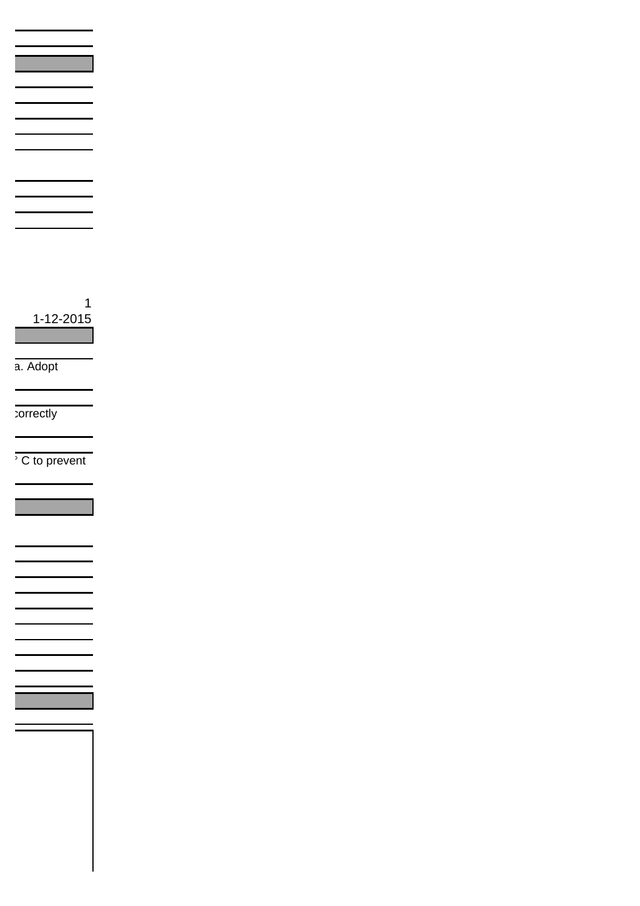1 1-12-2015

a. Adopt

correctly

 $\overline{\overline{C}}$  to prevent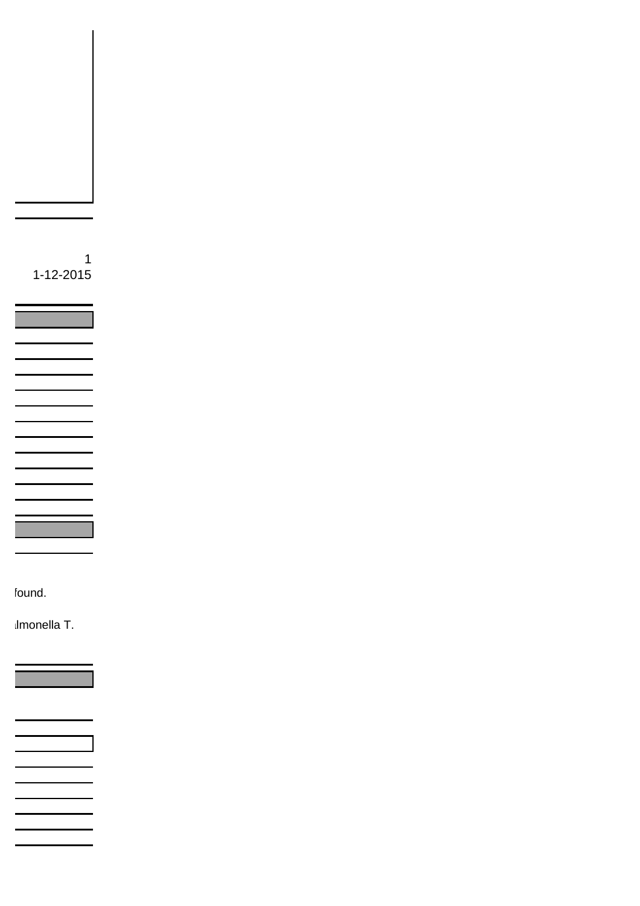1 1-12-2015

found.

Imonella T.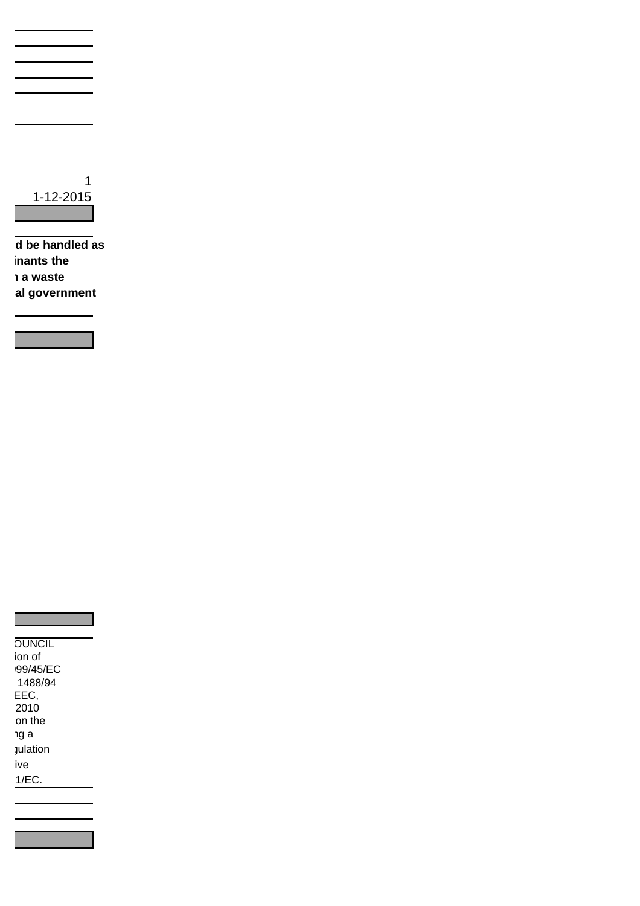

**The iddee is also deed handled as hants the waste al government** 



|  | <b>OUNCIL</b> |  |
|--|---------------|--|
|  | ion of        |  |
|  | 99/45/EC      |  |
|  | 1488/94       |  |
|  | ___           |  |

2010  $EEC,$ on the าg a julation ive  $1/EC$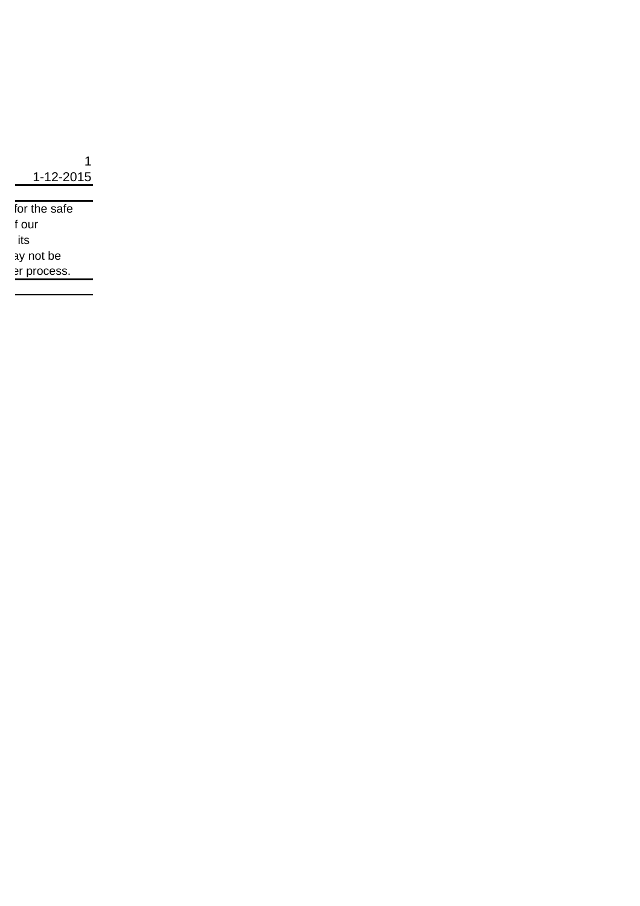1 1-12-2015

for the safe t our its ay not be er process.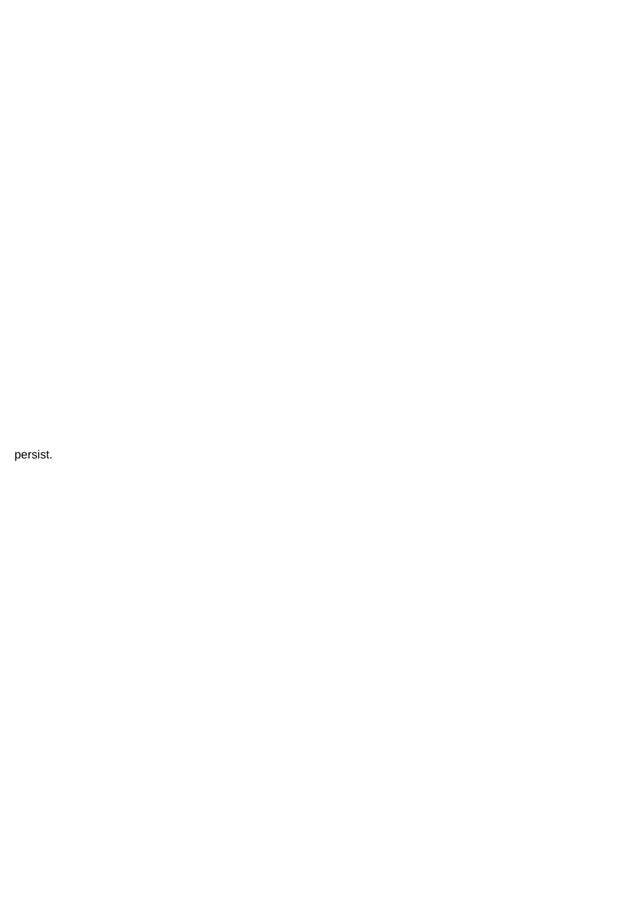persist.